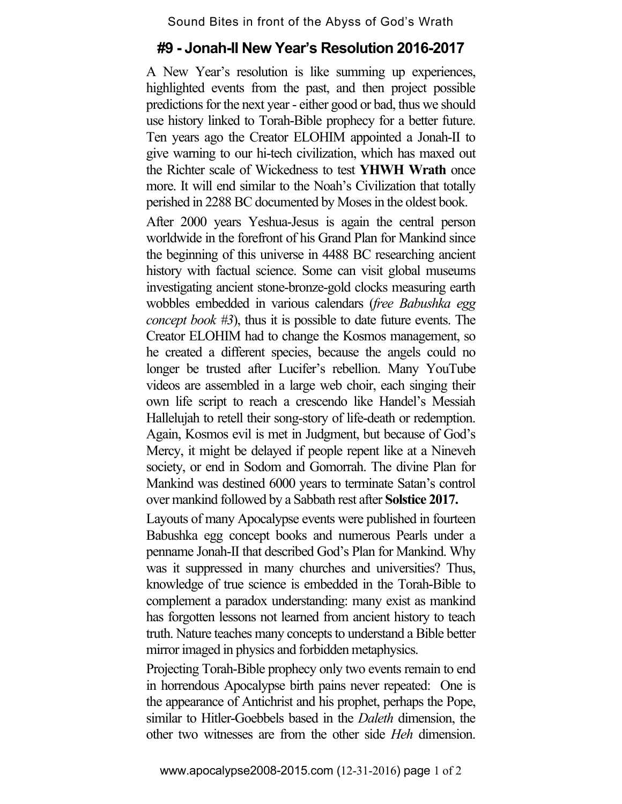## Sound Bites in front of the Abyss of God's Wrath

## **#9 - Jonah-II New Year's Resolution 2016-2017**

A New Year's resolution is like summing up experiences, highlighted events from the past, and then project possible predictions for the next year - either good or bad, thus we should use history linked to Torah-Bible prophecy for a better future. Ten years ago the Creator ELOHIM appointed a Jonah-II to give warning to our hi-tech civilization, which has maxed out the Richter scale of Wickedness to test **YHWH Wrath** once more. It will end similar to the Noah's Civilization that totally perished in 2288 BC documented by Moses in the oldest book.

After 2000 years Yeshua-Jesus is again the central person worldwide in the forefront of his Grand Plan for Mankind since the beginning of this universe in 4488 BC researching ancient history with factual science. Some can visit global museums investigating ancient stone-bronze-gold clocks measuring earth wobbles embedded in various calendars (*free Babushka egg concept book #3*), thus it is possible to date future events. The Creator ELOHIM had to change the Kosmos management, so he created a different species, because the angels could no longer be trusted after Lucifer's rebellion. Many YouTube videos are assembled in a large web choir, each singing their own life script to reach a crescendo like Handel's Messiah Hallelujah to retell their song-story of life-death or redemption. Again, Kosmos evil is met in Judgment, but because of God's Mercy, it might be delayed if people repent like at a Nineveh society, or end in Sodom and Gomorrah. The divine Plan for Mankind was destined 6000 years to terminate Satan's control over mankind followed by a Sabbath rest after **Solstice 2017.**

Layouts of many Apocalypse events were published in fourteen Babushka egg concept books and numerous Pearls under a penname Jonah-II that described God's Plan for Mankind. Why was it suppressed in many churches and universities? Thus, knowledge of true science is embedded in the Torah-Bible to complement a paradox understanding: many exist as mankind has forgotten lessons not learned from ancient history to teach truth. Nature teaches many concepts to understand a Bible better mirror imaged in physics and forbidden metaphysics.

Projecting Torah-Bible prophecy only two events remain to end in horrendous Apocalypse birth pains never repeated: One is the appearance of Antichrist and his prophet, perhaps the Pope, similar to Hitler-Goebbels based in the *Daleth* dimension, the other two witnesses are from the other side *Heh* dimension.